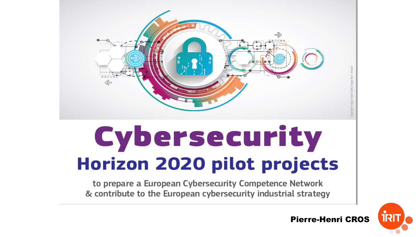

# Cybersecurity **Horizon 2020 pilot projects**

to prepare a European Cybersecurity Competence Network & contribute to the European cybersecurity industrial strategy



Pierre-Henri CROS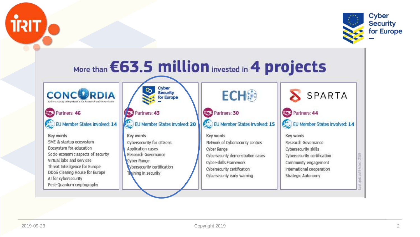



#### More than **€63.5 million** invested in 4 projects Cyber o, **ECH® Security** SPARTA **CONCURRDIA** for Europe Cyber security cOmpeteNCe IOr Research and Innovation Partners: 46 Partners: 30 Partners: 44 Partners: 43 EU Member States involved: 15 EU Member States involved: 14 EU Member States Involved: 20 EU Member States involved: 14 Key words Key words Key words Key words SME & startup ecosystem Cybersecurity for citizens Network of Cybersecurity centres Research Governance Ecosystem for education Application cases Cybersecurity skills Cyber Range Socio-economic aspects of security Research Governance Cybersecurity demonstration cases Cybersecurity certification Virtual labs and services Cyber Range Cyber-skills Framework Community engagement **undated BMarch** Threat Intelligence for Europe vbersecurity certification Cybersecurity certification International cooperation DDoS Clearing House for Europe Training in security Cybersecurity early warning Strategic Autonomy AI for cybersecurity Post-Quantum cryptography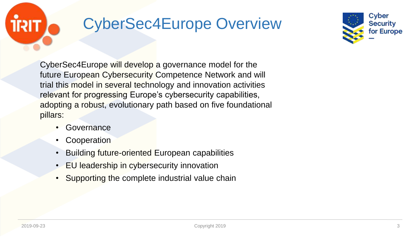## CyberSec4Europe Overview



CyberSec4Europe will develop a governance model for the future European Cybersecurity Competence Network and will trial this model in several technology and innovation activities relevant for progressing Europe's cybersecurity capabilities, adopting a robust, evolutionary path based on five foundational pillars:

- **Governance**
- **Cooperation**
- Building future-oriented European capabilities
- EU leadership in cybersecurity innovation
- Supporting the complete industrial value chain

11317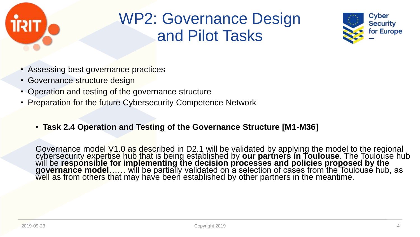

#### WP2: Governance Design and Pilot Tasks



- Assessing best governance practices
- Governance structure design
- Operation and testing of the governance structure
- Preparation for the future Cybersecurity Competence Network

#### • **Task 2.4 Operation and Testing of the Governance Structure [M1-M36]**

Governance model V1.0 as described in D2.1 will be validated by applying the model to the regional cybersecurity expertise hub that is being established by **our partners in Toulouse**. The Toulouse hub will be **responsible for implementing the decision processes and policies proposed by the governance model…… wi**ll be partially validated on a selection of cases from the Toulouse hub, as well as from others that may have been established by other partners in the meantime.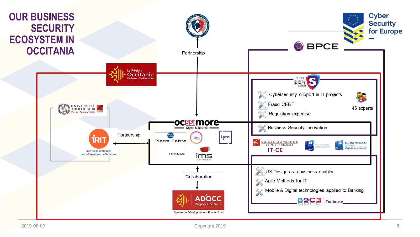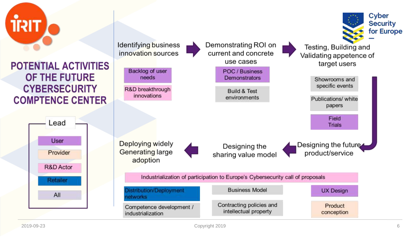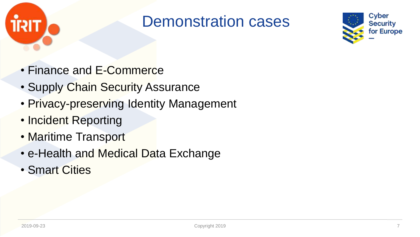

#### Demonstration cases



- Finance and E-Commerce
- Supply Chain Security Assurance
- Privacy-preserving Identity Management
- Incident Reporting
- Maritime Transport
- e-Health and Medical Data Exchange
- Smart Cities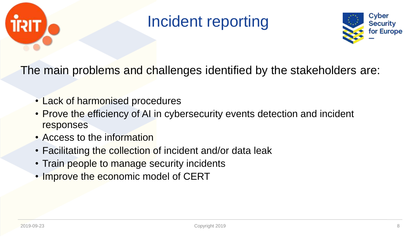

#### Incident reporting



The main problems and challenges identified by the stakeholders are:

- Lack of harmonised procedures
- Prove the efficiency of AI in cybersecurity events detection and incident responses
- Access to the information
- Facilitating the collection of incident and/or data leak
- Train people to manage security incidents
- Improve the economic model of CERT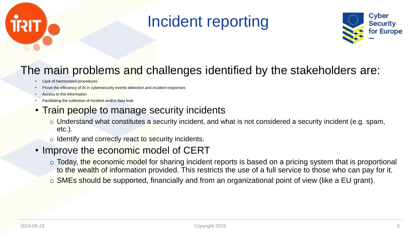

#### Incident reporting



#### The main problems and challenges identified by the stakeholders are:

- Lack of harmonised procedures
- Prove the efficiency of AI in cybersecurity events detection and incident responses
- Access to the information
- Facilitating the collection of incident and/or data leak
- Train people to manage security incidents
	- $\circ$  Understand what constitutes a security incident, and what is not considered a security incident (e.g. spam, etc.).
	- $\circ$  Identify and correctly react to security incidents.
- Improve the economic model of CERT
	- o Today, the economic model for sharing incident reports is based on a pricing system that is proportional to the wealth of information provided. This restricts the use of a full service to those who can pay for it.
	- $\circ$  SMEs should be supported, financially and from an organizational point of view (like a EU grant).